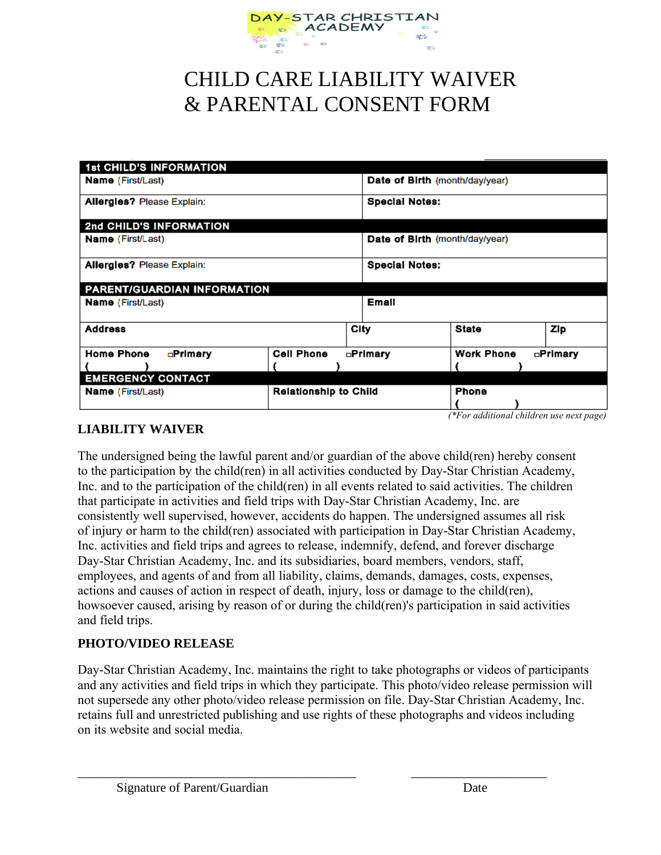

## CHILD CARE LIABILITY WAIVER & PARENTAL CONSENT FORM

| <b>1st CHILD'S INFORMATION</b>    |                              |          |                                |                                                   |          |
|-----------------------------------|------------------------------|----------|--------------------------------|---------------------------------------------------|----------|
| <b>Name</b> (First/Last)          |                              |          | Date of Birth (month/day/year) |                                                   |          |
| <b>Allergies? Please Explain:</b> |                              |          | <b>Special Notes:</b>          |                                                   |          |
| 2nd CHILD'S INFORMATION           |                              |          |                                |                                                   |          |
| Name (First/Last)                 |                              |          | Date of Birth (month/day/year) |                                                   |          |
| <b>Allergies? Please Explain:</b> |                              |          | <b>Special Notes:</b>          |                                                   |          |
| PARENT/GUARDIAN INFORMATION       |                              |          |                                |                                                   |          |
| Name (First/Last)                 |                              |          | Emall                          |                                                   |          |
| <b>Address</b>                    |                              | City     |                                | State                                             | Zip      |
| <b>Home Phone</b><br>□Primary     | <b>Cell Phone</b>            | ⊡Primary |                                | <b>Work Phone</b>                                 | □Primary |
|                                   |                              |          |                                |                                                   |          |
| <b>EMERGENCY CONTACT</b>          |                              |          |                                |                                                   |          |
| <b>Name</b> (First/Last)          | <b>Relationship to Child</b> |          |                                | Phone<br>(*For additional children use next page) |          |

## **LIABILITY WAIVER**

The undersigned being the lawful parent and/or guardian of the above child(ren) hereby consent to the participation by the child(ren) in all activities conducted by Day-Star Christian Academy, Inc. and to the participation of the child(ren) in all events related to said activities. The children that participate in activities and field trips with Day-Star Christian Academy, Inc. are consistently well supervised, however, accidents do happen. The undersigned assumes all risk of injury or harm to the child(ren) associated with participation in Day-Star Christian Academy, Inc. activities and field trips and agrees to release, indemnify, defend, and forever discharge Day-Star Christian Academy, Inc. and its subsidiaries, board members, vendors, staff, employees, and agents of and from all liability, claims, demands, damages, costs, expenses, actions and causes of action in respect of death, injury, loss or damage to the child(ren), howsoever caused, arising by reason of or during the child(ren)'s participation in said activities and field trips.

## **PHOTO/VIDEO RELEASE**

Day-Star Christian Academy, Inc. maintains the right to take photographs or videos of participants and any activities and field trips in which they participate. This photo/video release permission will not supersede any other photo/video release permission on file. Day-Star Christian Academy, Inc. retains full and unrestricted publishing and use rights of these photographs and videos including on its website and social media.

\_\_\_\_\_\_\_\_\_\_\_\_\_\_\_\_\_\_\_\_\_\_\_\_\_\_\_\_\_\_\_\_\_\_\_\_\_\_\_\_\_\_\_ \_\_\_\_\_\_\_\_\_\_\_\_\_\_\_\_\_\_\_\_\_